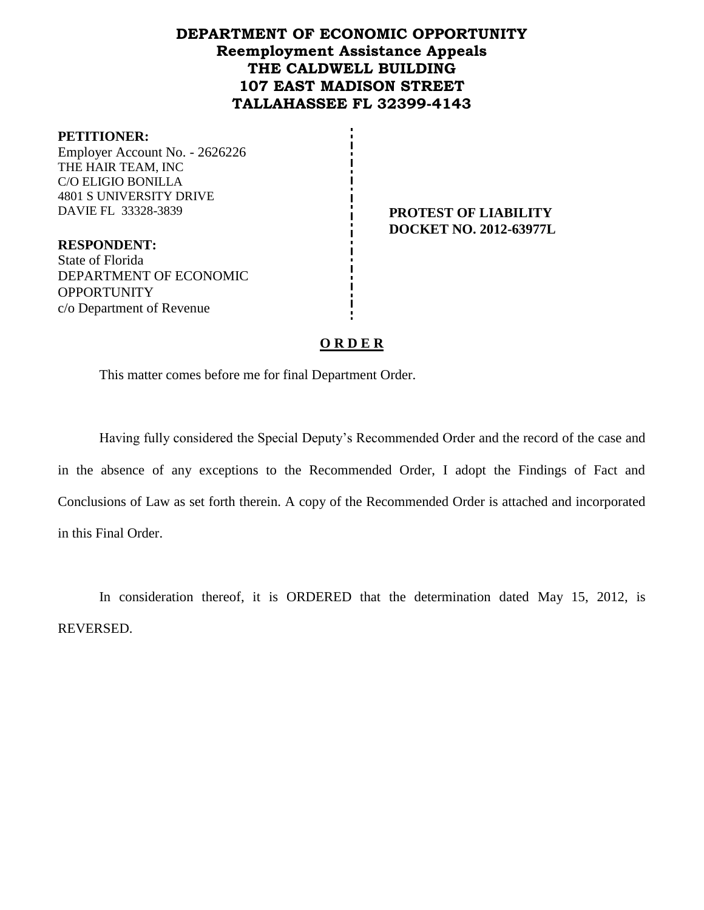# **DEPARTMENT OF ECONOMIC OPPORTUNITY Reemployment Assistance Appeals THE CALDWELL BUILDING 107 EAST MADISON STREET TALLAHASSEE FL 32399-4143**

#### **PETITIONER:**

Employer Account No. - 2626226 THE HAIR TEAM, INC C/O ELIGIO BONILLA 4801 S UNIVERSITY DRIVE DAVIE FL 33328-3839 **PROTEST OF LIABILITY**

**DOCKET NO. 2012-63977L**

**RESPONDENT:** State of Florida DEPARTMENT OF ECONOMIC **OPPORTUNITY** c/o Department of Revenue

# **O R D E R**

This matter comes before me for final Department Order.

Having fully considered the Special Deputy's Recommended Order and the record of the case and in the absence of any exceptions to the Recommended Order, I adopt the Findings of Fact and Conclusions of Law as set forth therein. A copy of the Recommended Order is attached and incorporated in this Final Order.

In consideration thereof, it is ORDERED that the determination dated May 15, 2012, is REVERSED.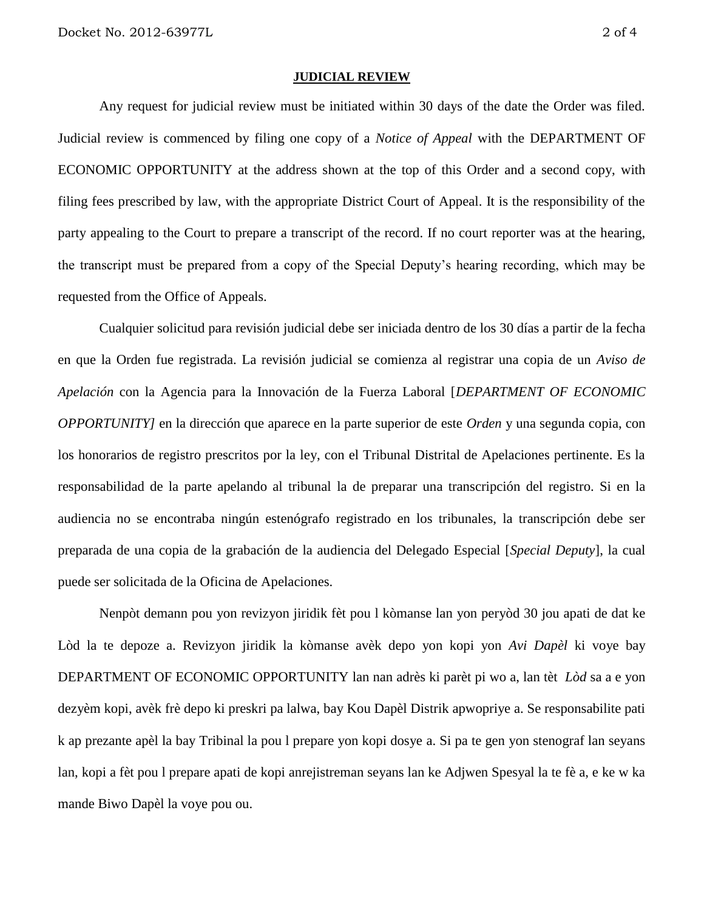#### **JUDICIAL REVIEW**

Any request for judicial review must be initiated within 30 days of the date the Order was filed. Judicial review is commenced by filing one copy of a *Notice of Appeal* with the DEPARTMENT OF ECONOMIC OPPORTUNITY at the address shown at the top of this Order and a second copy, with filing fees prescribed by law, with the appropriate District Court of Appeal. It is the responsibility of the party appealing to the Court to prepare a transcript of the record. If no court reporter was at the hearing, the transcript must be prepared from a copy of the Special Deputy's hearing recording, which may be requested from the Office of Appeals.

Cualquier solicitud para revisión judicial debe ser iniciada dentro de los 30 días a partir de la fecha en que la Orden fue registrada. La revisión judicial se comienza al registrar una copia de un *Aviso de Apelación* con la Agencia para la Innovación de la Fuerza Laboral [*DEPARTMENT OF ECONOMIC OPPORTUNITY]* en la dirección que aparece en la parte superior de este *Orden* y una segunda copia, con los honorarios de registro prescritos por la ley, con el Tribunal Distrital de Apelaciones pertinente. Es la responsabilidad de la parte apelando al tribunal la de preparar una transcripción del registro. Si en la audiencia no se encontraba ningún estenógrafo registrado en los tribunales, la transcripción debe ser preparada de una copia de la grabación de la audiencia del Delegado Especial [*Special Deputy*], la cual puede ser solicitada de la Oficina de Apelaciones.

Nenpòt demann pou yon revizyon jiridik fèt pou l kòmanse lan yon peryòd 30 jou apati de dat ke Lòd la te depoze a. Revizyon jiridik la kòmanse avèk depo yon kopi yon *Avi Dapèl* ki voye bay DEPARTMENT OF ECONOMIC OPPORTUNITY lan nan adrès ki parèt pi wo a, lan tèt *Lòd* sa a e yon dezyèm kopi, avèk frè depo ki preskri pa lalwa, bay Kou Dapèl Distrik apwopriye a. Se responsabilite pati k ap prezante apèl la bay Tribinal la pou l prepare yon kopi dosye a. Si pa te gen yon stenograf lan seyans lan, kopi a fèt pou l prepare apati de kopi anrejistreman seyans lan ke Adjwen Spesyal la te fè a, e ke w ka mande Biwo Dapèl la voye pou ou.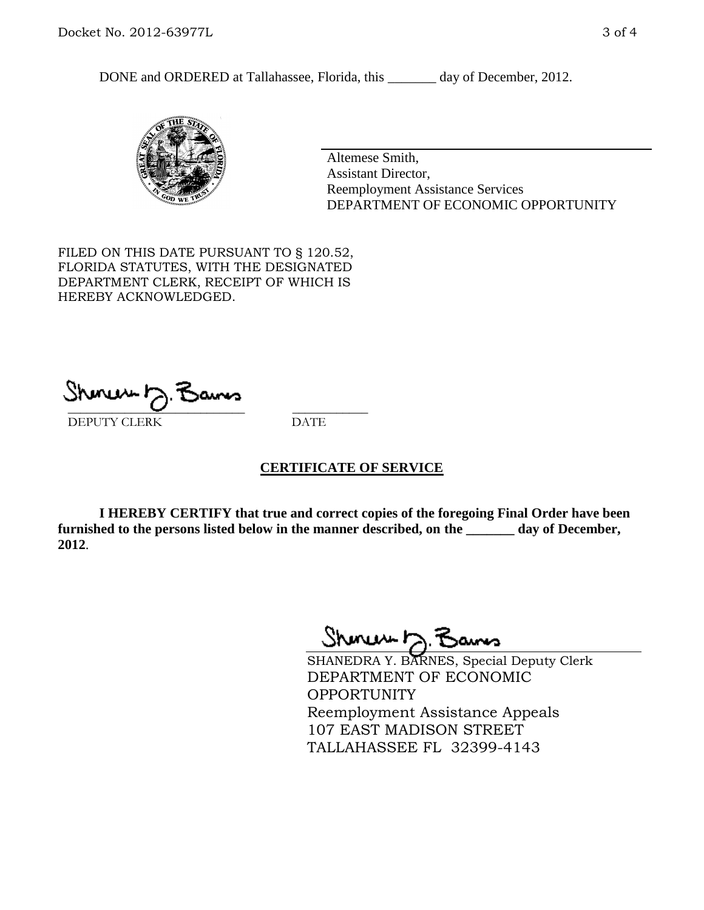DONE and ORDERED at Tallahassee, Florida, this \_\_\_\_\_\_\_ day of December, 2012.



Altemese Smith, Assistant Director, Reemployment Assistance Services DEPARTMENT OF ECONOMIC OPPORTUNITY

FILED ON THIS DATE PURSUANT TO § 120.52, FLORIDA STATUTES, WITH THE DESIGNATED DEPARTMENT CLERK, RECEIPT OF WHICH IS HEREBY ACKNOWLEDGED.

 $\overline{\phantom{a}}$  ,  $\overline{\phantom{a}}$  ,  $\overline{\phantom{a}}$  ,  $\overline{\phantom{a}}$  ,  $\overline{\phantom{a}}$  ,  $\overline{\phantom{a}}$  ,  $\overline{\phantom{a}}$  ,  $\overline{\phantom{a}}$ DEPUTY CLERK DATE

# **CERTIFICATE OF SERVICE**

**I HEREBY CERTIFY that true and correct copies of the foregoing Final Order have been furnished to the persons listed below in the manner described, on the \_\_\_\_\_\_\_ day of December, 2012**.

Shoner 5. Bans

SHANEDRA Y. BARNES, Special Deputy Clerk DEPARTMENT OF ECONOMIC OPPORTUNITY Reemployment Assistance Appeals 107 EAST MADISON STREET TALLAHASSEE FL 32399-4143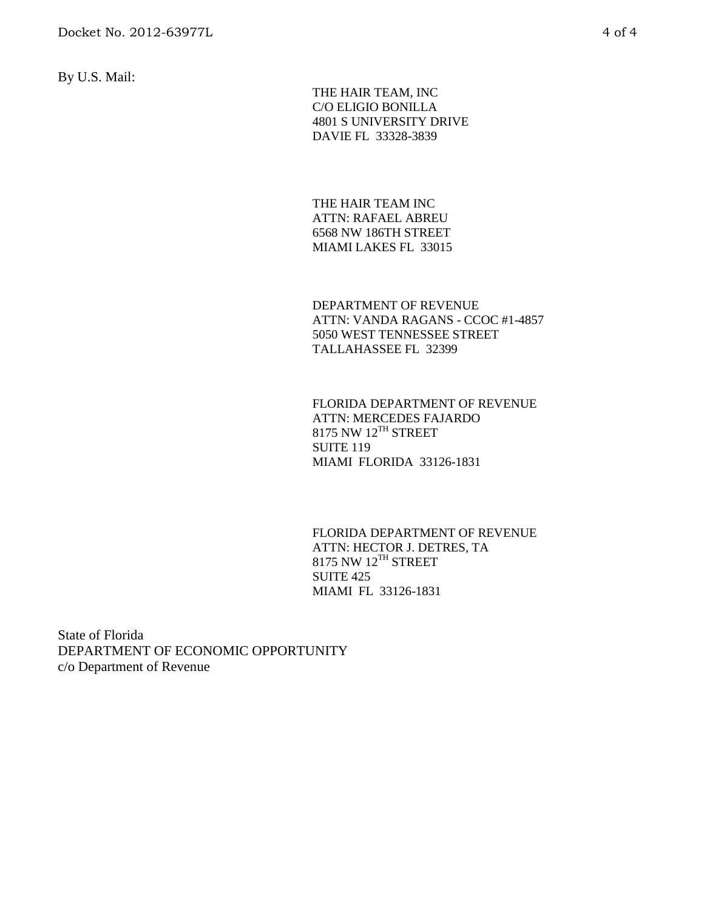By U.S. Mail:

 THE HAIR TEAM, INC C/O ELIGIO BONILLA 4801 S UNIVERSITY DRIVE DAVIE FL 33328-3839

THE HAIR TEAM INC ATTN: RAFAEL ABREU 6568 NW 186TH STREET MIAMI LAKES FL 33015

DEPARTMENT OF REVENUE ATTN: VANDA RAGANS - CCOC #1-4857 5050 WEST TENNESSEE STREET TALLAHASSEE FL 32399

FLORIDA DEPARTMENT OF REVENUE ATTN: MERCEDES FAJARDO  $8175$  NW  $12^{TH}$  STREET SUITE 119 MIAMI FLORIDA 33126-1831

FLORIDA DEPARTMENT OF REVENUE ATTN: HECTOR J. DETRES, TA  $8175$  NW  $12^{TH}$  STREET SUITE 425 MIAMI FL 33126-1831

State of Florida DEPARTMENT OF ECONOMIC OPPORTUNITY c/o Department of Revenue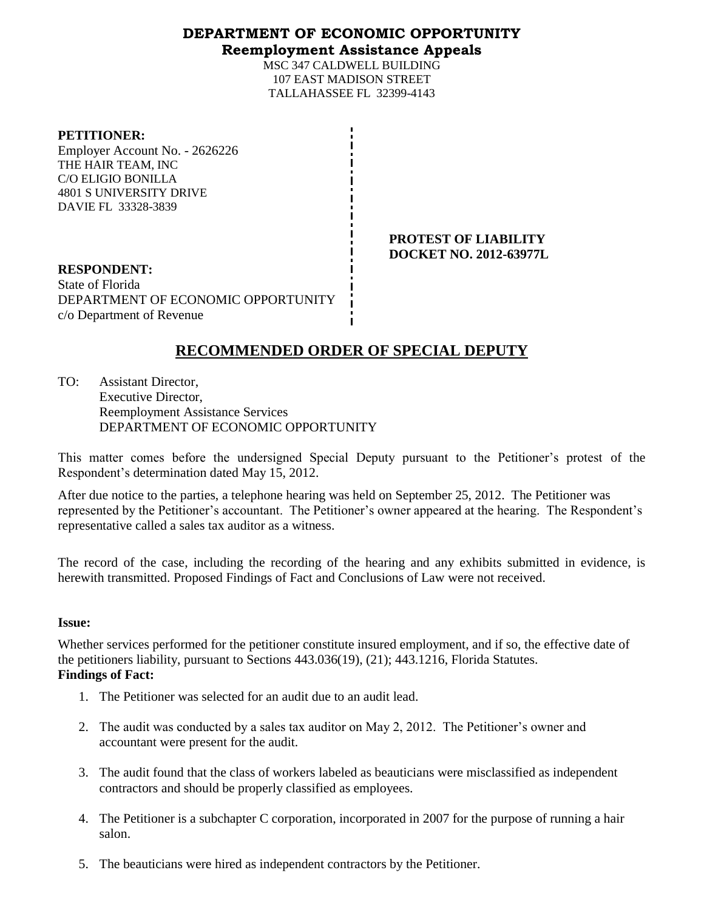# **DEPARTMENT OF ECONOMIC OPPORTUNITY**

# **Reemployment Assistance Appeals**

MSC 347 CALDWELL BUILDING 107 EAST MADISON STREET TALLAHASSEE FL 32399-4143

#### **PETITIONER:**

Employer Account No. - 2626226 THE HAIR TEAM, INC C/O ELIGIO BONILLA 4801 S UNIVERSITY DRIVE DAVIE FL 33328-3839

> **PROTEST OF LIABILITY DOCKET NO. 2012-63977L**

**RESPONDENT:** State of Florida DEPARTMENT OF ECONOMIC OPPORTUNITY c/o Department of Revenue

# **RECOMMENDED ORDER OF SPECIAL DEPUTY**

TO: Assistant Director, Executive Director, Reemployment Assistance Services DEPARTMENT OF ECONOMIC OPPORTUNITY

This matter comes before the undersigned Special Deputy pursuant to the Petitioner's protest of the Respondent's determination dated May 15, 2012.

After due notice to the parties, a telephone hearing was held on September 25, 2012. The Petitioner was represented by the Petitioner's accountant. The Petitioner's owner appeared at the hearing. The Respondent's representative called a sales tax auditor as a witness.

The record of the case, including the recording of the hearing and any exhibits submitted in evidence, is herewith transmitted. Proposed Findings of Fact and Conclusions of Law were not received.

### **Issue:**

Whether services performed for the petitioner constitute insured employment, and if so, the effective date of the petitioners liability, pursuant to Sections 443.036(19), (21); 443.1216, Florida Statutes. **Findings of Fact:**

- 1. The Petitioner was selected for an audit due to an audit lead.
- 2. The audit was conducted by a sales tax auditor on May 2, 2012. The Petitioner's owner and accountant were present for the audit.
- 3. The audit found that the class of workers labeled as beauticians were misclassified as independent contractors and should be properly classified as employees.
- 4. The Petitioner is a subchapter C corporation, incorporated in 2007 for the purpose of running a hair salon.
- 5. The beauticians were hired as independent contractors by the Petitioner.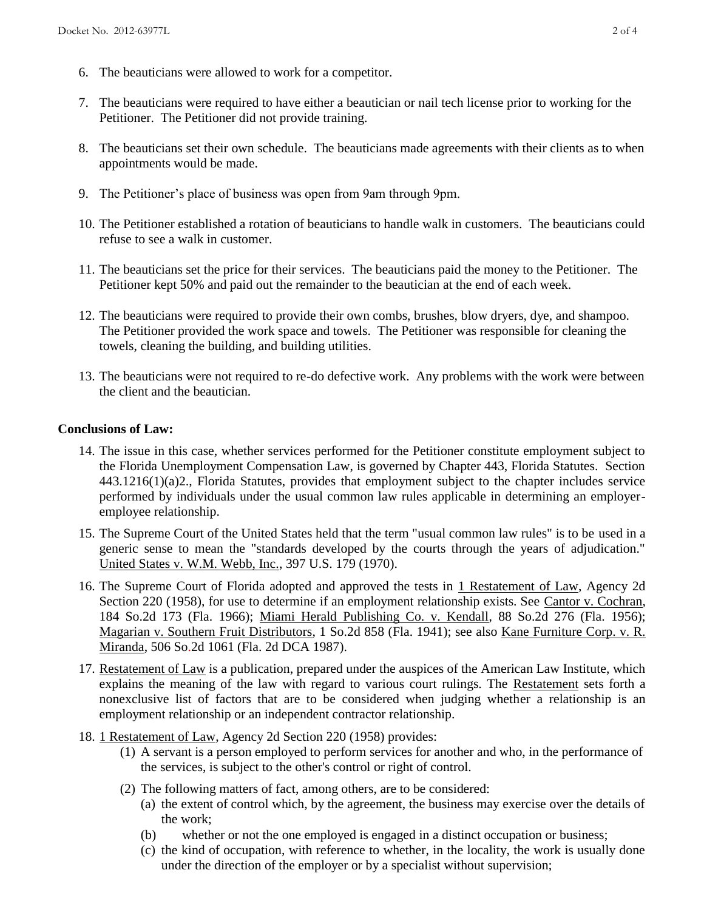- 6. The beauticians were allowed to work for a competitor.
- 7. The beauticians were required to have either a beautician or nail tech license prior to working for the Petitioner. The Petitioner did not provide training.
- 8. The beauticians set their own schedule. The beauticians made agreements with their clients as to when appointments would be made.
- 9. The Petitioner's place of business was open from 9am through 9pm.
- 10. The Petitioner established a rotation of beauticians to handle walk in customers. The beauticians could refuse to see a walk in customer.
- 11. The beauticians set the price for their services. The beauticians paid the money to the Petitioner. The Petitioner kept 50% and paid out the remainder to the beautician at the end of each week.
- 12. The beauticians were required to provide their own combs, brushes, blow dryers, dye, and shampoo. The Petitioner provided the work space and towels. The Petitioner was responsible for cleaning the towels, cleaning the building, and building utilities.
- 13. The beauticians were not required to re-do defective work. Any problems with the work were between the client and the beautician.

### **Conclusions of Law:**

- 14. The issue in this case, whether services performed for the Petitioner constitute employment subject to the Florida Unemployment Compensation Law, is governed by Chapter 443, Florida Statutes. Section 443.1216(1)(a)2., Florida Statutes, provides that employment subject to the chapter includes service performed by individuals under the usual common law rules applicable in determining an employeremployee relationship.
- 15. The Supreme Court of the United States held that the term "usual common law rules" is to be used in a generic sense to mean the "standards developed by the courts through the years of adjudication." United States v. W.M. Webb, Inc., 397 U.S. 179 (1970).
- 16. The Supreme Court of Florida adopted and approved the tests in 1 Restatement of Law, Agency 2d Section 220 (1958), for use to determine if an employment relationship exists. See Cantor v. Cochran, 184 So.2d 173 (Fla. 1966); Miami Herald Publishing Co. v. Kendall, 88 So.2d 276 (Fla. 1956); Magarian v. Southern Fruit Distributors, 1 So.2d 858 (Fla. 1941); see also Kane Furniture Corp. v. R. Miranda, 506 So.2d 1061 (Fla. 2d DCA 1987).
- 17. Restatement of Law is a publication, prepared under the auspices of the American Law Institute, which explains the meaning of the law with regard to various court rulings. The Restatement sets forth a nonexclusive list of factors that are to be considered when judging whether a relationship is an employment relationship or an independent contractor relationship.
- 18. 1 Restatement of Law, Agency 2d Section 220 (1958) provides:
	- (1) A servant is a person employed to perform services for another and who, in the performance of the services, is subject to the other's control or right of control.
	- (2) The following matters of fact, among others, are to be considered:
		- (a) the extent of control which, by the agreement, the business may exercise over the details of the work;
		- (b) whether or not the one employed is engaged in a distinct occupation or business;
		- (c) the kind of occupation, with reference to whether, in the locality, the work is usually done under the direction of the employer or by a specialist without supervision;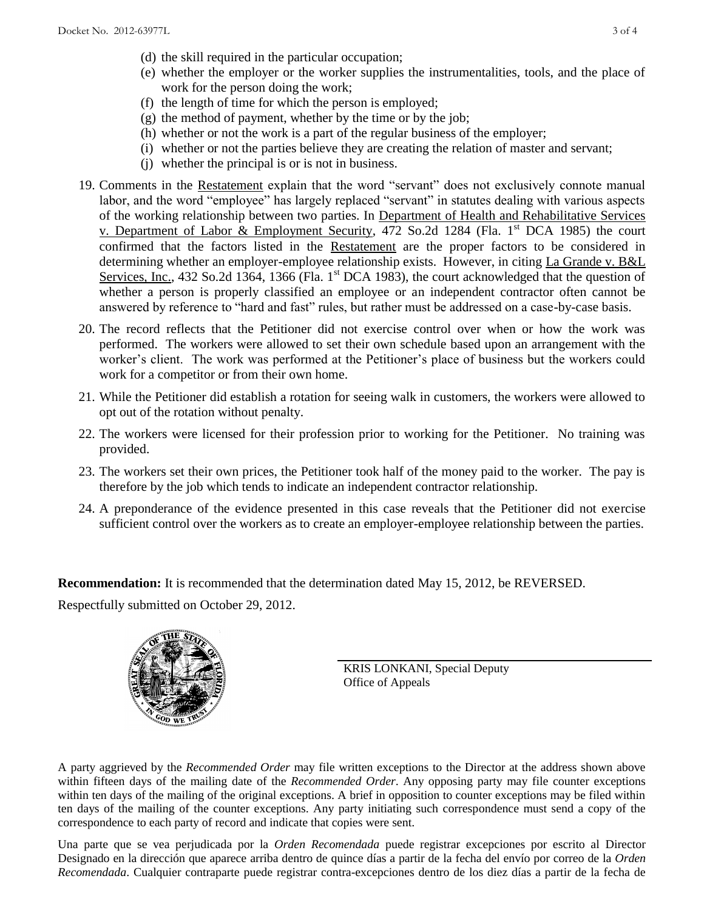- (d) the skill required in the particular occupation;
- (e) whether the employer or the worker supplies the instrumentalities, tools, and the place of work for the person doing the work;
- (f) the length of time for which the person is employed;
- (g) the method of payment, whether by the time or by the job;
- (h) whether or not the work is a part of the regular business of the employer;
- (i) whether or not the parties believe they are creating the relation of master and servant;
- (j) whether the principal is or is not in business.
- 19. Comments in the Restatement explain that the word "servant" does not exclusively connote manual labor, and the word "employee" has largely replaced "servant" in statutes dealing with various aspects of the working relationship between two parties. In Department of Health and Rehabilitative Services v. Department of Labor & Employment Security, 472 So.2d 1284 (Fla. 1<sup>st</sup> DCA 1985) the court confirmed that the factors listed in the Restatement are the proper factors to be considered in determining whether an employer-employee relationship exists. However, in citing La Grande v. B&L Services, Inc., 432 So.2d 1364, 1366 (Fla. 1<sup>st</sup> DCA 1983), the court acknowledged that the question of whether a person is properly classified an employee or an independent contractor often cannot be answered by reference to "hard and fast" rules, but rather must be addressed on a case-by-case basis.
- 20. The record reflects that the Petitioner did not exercise control over when or how the work was performed. The workers were allowed to set their own schedule based upon an arrangement with the worker's client. The work was performed at the Petitioner's place of business but the workers could work for a competitor or from their own home.
- 21. While the Petitioner did establish a rotation for seeing walk in customers, the workers were allowed to opt out of the rotation without penalty.
- 22. The workers were licensed for their profession prior to working for the Petitioner. No training was provided.
- 23. The workers set their own prices, the Petitioner took half of the money paid to the worker. The pay is therefore by the job which tends to indicate an independent contractor relationship.
- 24. A preponderance of the evidence presented in this case reveals that the Petitioner did not exercise sufficient control over the workers as to create an employer-employee relationship between the parties.

**Recommendation:** It is recommended that the determination dated May 15, 2012, be REVERSED.

Respectfully submitted on October 29, 2012.



KRIS LONKANI, Special Deputy Office of Appeals

A party aggrieved by the *Recommended Order* may file written exceptions to the Director at the address shown above within fifteen days of the mailing date of the *Recommended Order*. Any opposing party may file counter exceptions within ten days of the mailing of the original exceptions. A brief in opposition to counter exceptions may be filed within ten days of the mailing of the counter exceptions. Any party initiating such correspondence must send a copy of the correspondence to each party of record and indicate that copies were sent.

Una parte que se vea perjudicada por la *Orden Recomendada* puede registrar excepciones por escrito al Director Designado en la dirección que aparece arriba dentro de quince días a partir de la fecha del envío por correo de la *Orden Recomendada*. Cualquier contraparte puede registrar contra-excepciones dentro de los diez días a partir de la fecha de